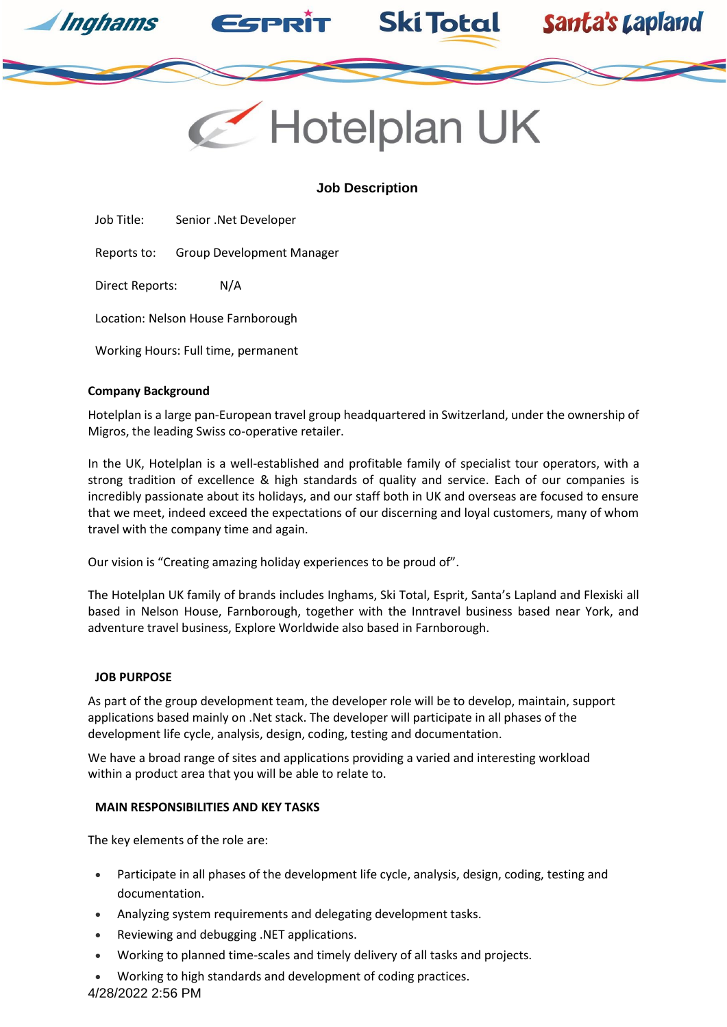



**Ski Total** 

Santa's Lapland

# **Job Description**

Job Title: Senior .Net Developer

Reports to: Group Development Manager

Direct Reports: N/A

Location: Nelson House Farnborough

Working Hours: Full time, permanent

### **Company Background**

Hotelplan is a large pan-European travel group headquartered in Switzerland, under the ownership of Migros, the leading Swiss co-operative retailer.

In the UK, Hotelplan is a well-established and profitable family of specialist tour operators, with a strong tradition of excellence & high standards of quality and service. Each of our companies is incredibly passionate about its holidays, and our staff both in UK and overseas are focused to ensure that we meet, indeed exceed the expectations of our discerning and loyal customers, many of whom travel with the company time and again.

Our vision is "Creating amazing holiday experiences to be proud of".

The Hotelplan UK family of brands includes Inghams, Ski Total, Esprit, Santa's Lapland and Flexiski all based in Nelson House, Farnborough, together with the Inntravel business based near York, and adventure travel business, Explore Worldwide also based in Farnborough.

### **JOB PURPOSE**

As part of the group development team, the developer role will be to develop, maintain, support applications based mainly on .Net stack. The developer will participate in all phases of the development life cycle, analysis, design, coding, testing and documentation.

We have a broad range of sites and applications providing a varied and interesting workload within a product area that you will be able to relate to.

### **MAIN RESPONSIBILITIES AND KEY TASKS**

The key elements of the role are:

- Participate in all phases of the development life cycle, analysis, design, coding, testing and documentation.
- Analyzing system requirements and delegating development tasks.
- Reviewing and debugging .NET applications.
- Working to planned time-scales and timely delivery of all tasks and projects.
- Working to high standards and development of coding practices.

4/28/2022 2:56 PM